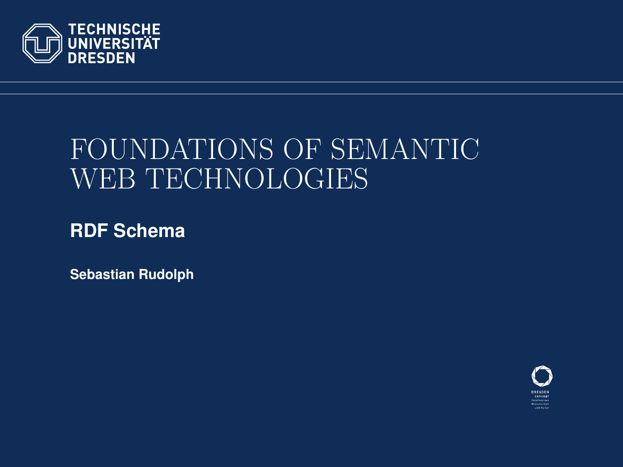<span id="page-0-0"></span>

# FOUNDATIONS OF SEMANTIC WEB TECHNOLOGIES

**RDF Schema**

**Sebastian Rudolph**

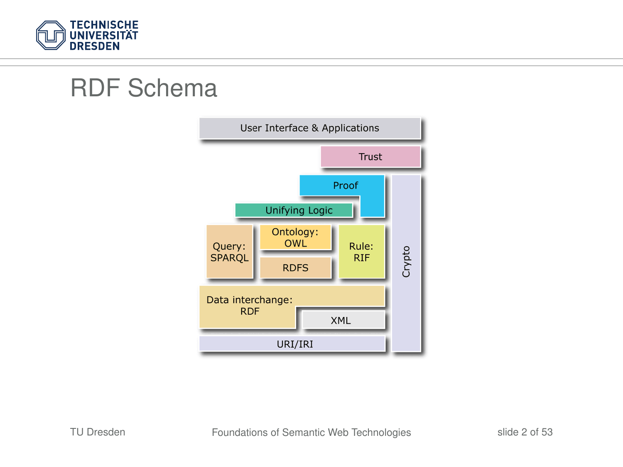

## RDF Schema

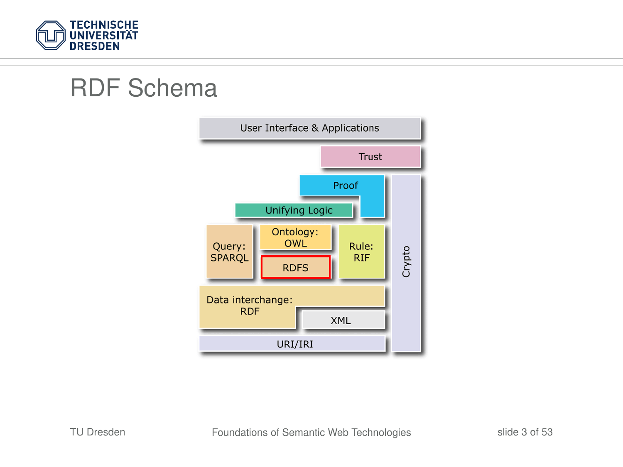

## RDF Schema

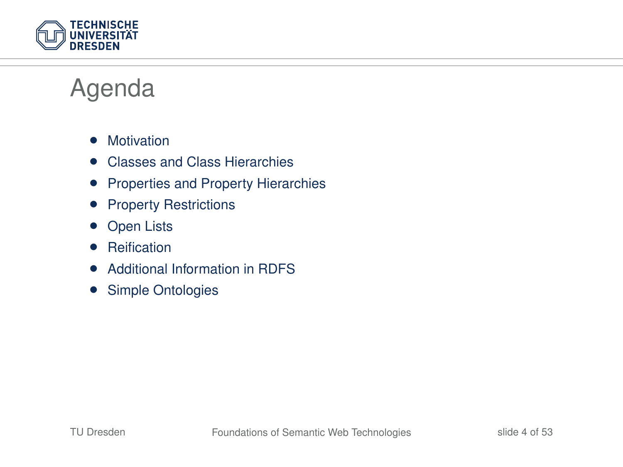

## Agenda

- Motivation
- Classes and Class Hierarchies
- Properties and Property Hierarchies
- Property Restrictions
- **Open Lists**
- Reification
- Additional Information in RDFS
- Simple Ontologies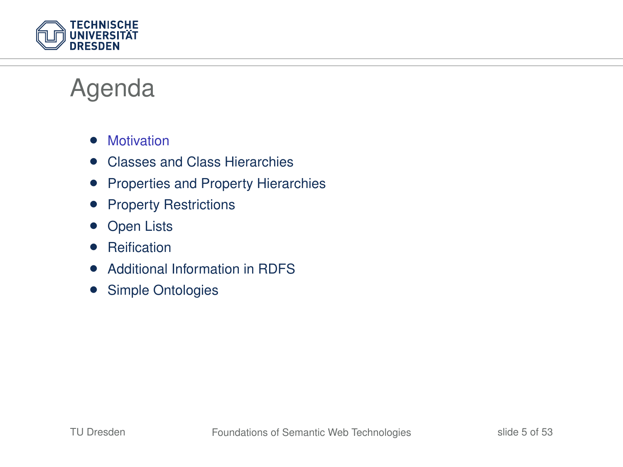

## Agenda

- Motivation
- Classes and Class Hierarchies
- Properties and Property Hierarchies
- Property Restrictions
- **Open Lists**
- Reification
- Additional Information in RDFS
- Simple Ontologies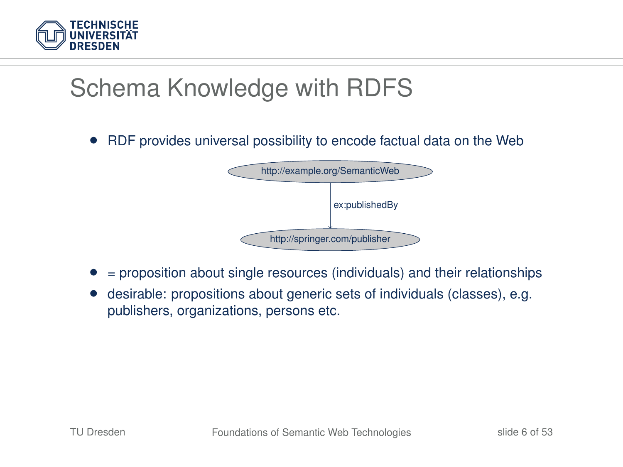

• RDF provides universal possibility to encode factual data on the Web



- = proposition about single resources (individuals) and their relationships
- desirable: propositions about generic sets of individuals (classes), e.g. publishers, organizations, persons etc.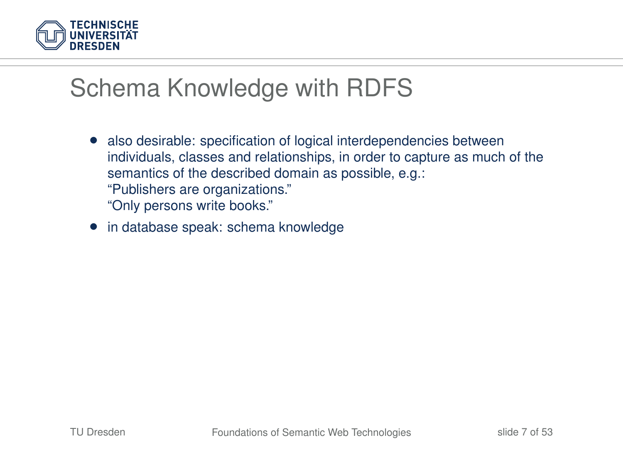

- also desirable: specification of logical interdependencies between individuals, classes and relationships, in order to capture as much of the semantics of the described domain as possible, e.g.: "Publishers are organizations." "Only persons write books."
- in database speak: schema knowledge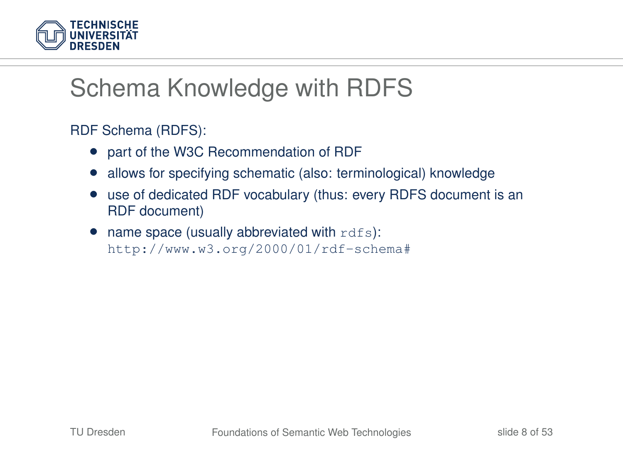

RDF Schema (RDFS):

- part of the W3C Recommendation of RDF
- allows for specifying schematic (also: terminological) knowledge
- use of dedicated RDF vocabulary (thus: every RDFS document is an RDF document)
- $\bullet$  name space (usually abbreviated with  $\text{rdfs}$ ): http://www.w3.org/2000/01/rdf-schema#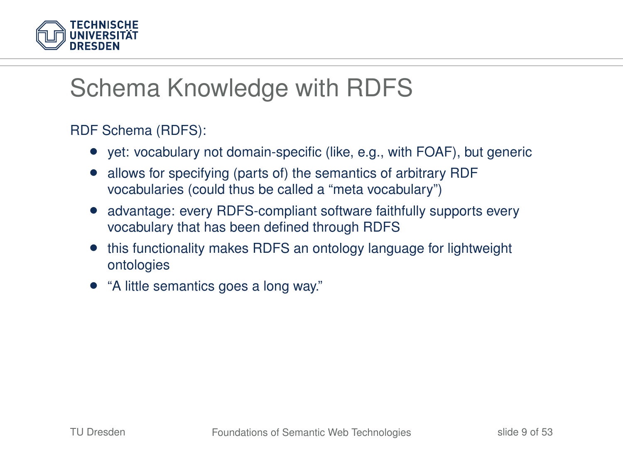

#### RDF Schema (RDFS):

- yet: vocabulary not domain-specific (like, e.g., with FOAF), but generic
- allows for specifying (parts of) the semantics of arbitrary RDF vocabularies (could thus be called a "meta vocabulary")
- advantage: every RDFS-compliant software faithfully supports every vocabulary that has been defined through RDFS
- this functionality makes RDFS an ontology language for lightweight ontologies
- "A little semantics goes a long way."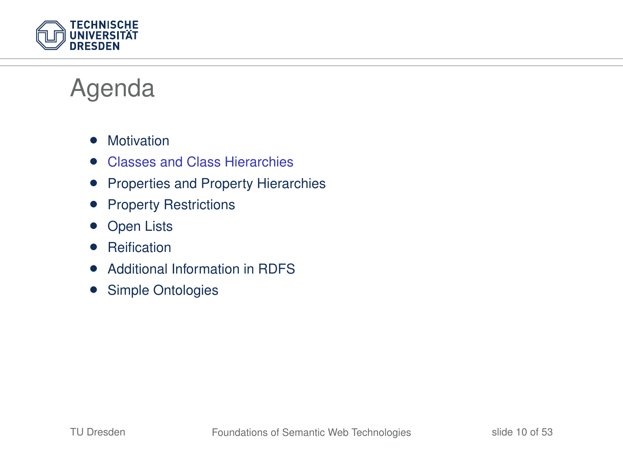

## Agenda

- Motivation
- Classes and Class Hierarchies
- Properties and Property Hierarchies
- Property Restrictions
- **Open Lists**
- Reification
- Additional Information in RDFS
- Simple Ontologies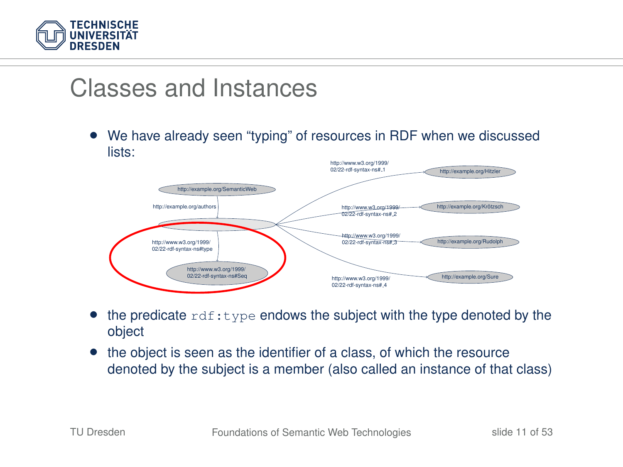

## Classes and Instances

• We have already seen "typing" of resources in RDF when we discussed lists:



- the predicate  $\text{rdf:type}$  endows the subject with the type denoted by the object
- the object is seen as the identifier of a class, of which the resource denoted by the subject is a member (also called an instance of that class)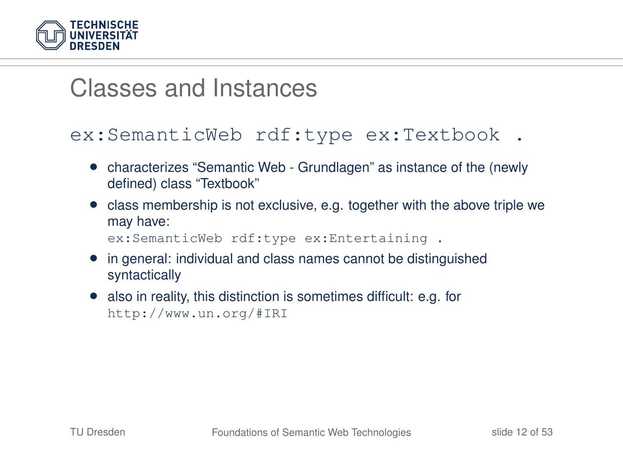

### Classes and Instances

#### ex:SemanticWeb rdf:type ex:Textbook .

- characterizes "Semantic Web Grundlagen" as instance of the (newly defined) class "Textbook"
- class membership is not exclusive, e.g. together with the above triple we may have: ex:SemanticWeb rdf:type ex:Entertaining .
- in general: individual and class names cannot be distinguished syntactically
- also in reality, this distinction is sometimes difficult: e.g. for http://www.un.org/#IRI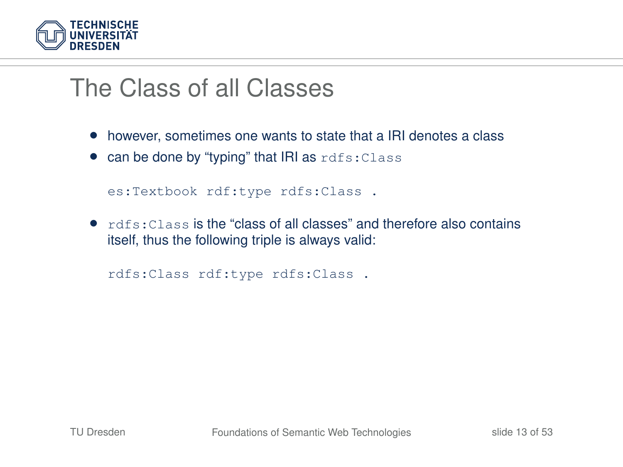

## The Class of all Classes

- however, sometimes one wants to state that a IRI denotes a class
- $\bullet$  can be done by "typing" that IRI as  $rdfs:Class$

es:Textbook rdf:type rdfs:Class .

• rdfs:Class is the "class of all classes" and therefore also contains itself, thus the following triple is always valid:

rdfs:Class rdf:type rdfs:Class .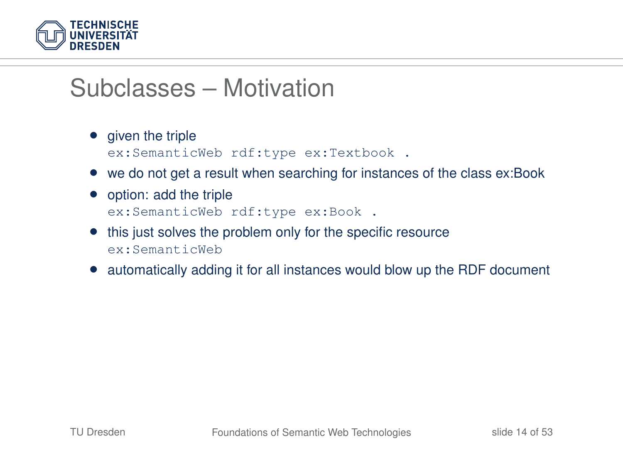

## Subclasses – Motivation

- given the triple ex:SemanticWeb rdf:type ex:Textbook .
- we do not get a result when searching for instances of the class ex:Book
- option: add the triple ex:SemanticWeb rdf:type ex:Book .
- this just solves the problem only for the specific resource ex:SemanticWeb
- automatically adding it for all instances would blow up the RDF document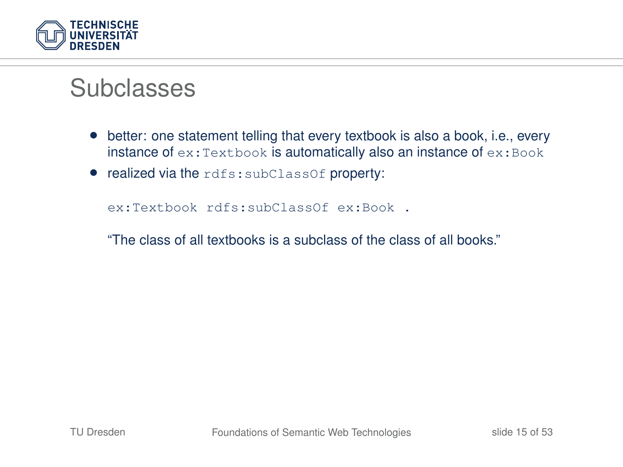

### **Subclasses**

- better: one statement telling that every textbook is also a book, i.e., every instance of ex: Textbook is automatically also an instance of ex: Book
- realized via the rdfs:subClassOf property:

ex:Textbook rdfs:subClassOf ex:Book .

"The class of all textbooks is a subclass of the class of all books."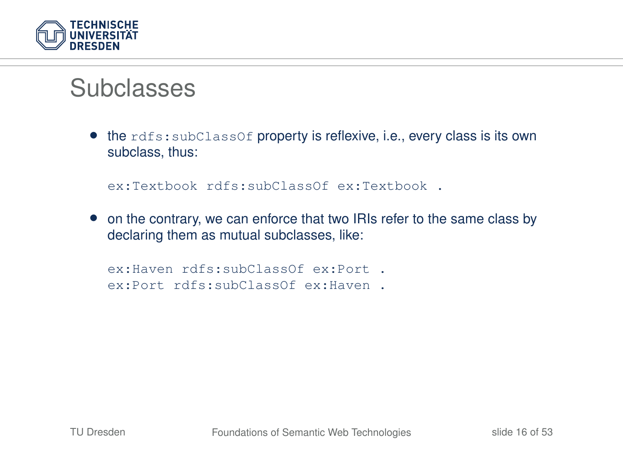

### Subclasses

• the rdfs: subClassOf property is reflexive, i.e., every class is its own subclass, thus:

ex:Textbook rdfs:subClassOf ex:Textbook .

• on the contrary, we can enforce that two IRIs refer to the same class by declaring them as mutual subclasses, like:

```
ex:Haven rdfs:subClassOf ex:Port .
ex:Port rdfs:subClassOf ex:Haven .
```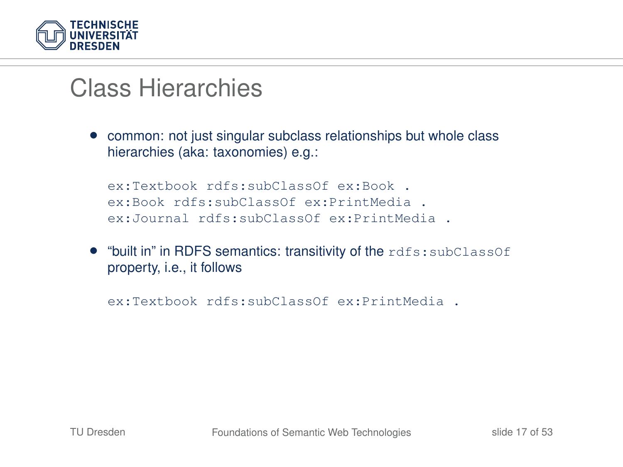

## Class Hierarchies

• common: not just singular subclass relationships but whole class hierarchies (aka: taxonomies) e.g.:

```
ex:Textbook rdfs:subClassOf ex:Book .
ex:Book rdfs:subClassOf ex:PrintMedia .
ex:Journal rdfs:subClassOf ex:PrintMedia .
```
• "built in" in RDFS semantics: transitivity of the rdfs:subClassOf property, i.e., it follows

ex:Textbook rdfs:subClassOf ex:PrintMedia .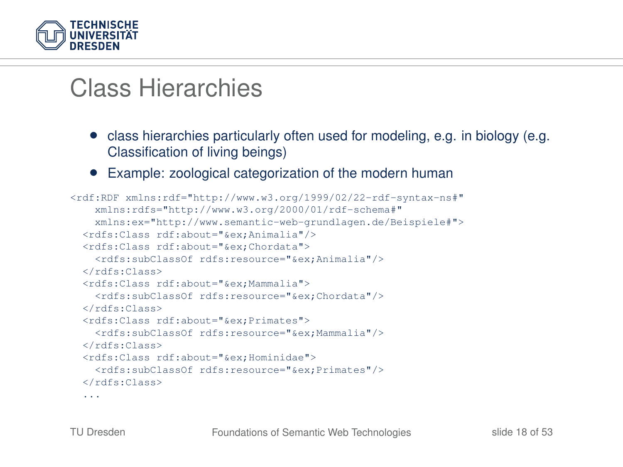

## Class Hierarchies

- class hierarchies particularly often used for modeling, e.g. in biology (e.g. Classification of living beings)
- Example: zoological categorization of the modern human

```
<rdf:RDF xmlns:rdf="http://www.w3.org/1999/02/22-rdf-syntax-ns#"
   xmlns:rdfs="http://www.w3.org/2000/01/rdf-schema#"
   xmlns:ex="http://www.semantic-web-grundlagen.de/Beispiele#">
 <rdfs:Class rdf:about="&ex;Animalia"/>
 <rdfs:Class rdf:about="&ex;Chordata">
   <rdfs:subClassOf rdfs:resource="&ex;Animalia"/>
 </rdfs:Class>
 <rdfs:Class rdf:about="&ex;Mammalia">
   <rdfs:subClassOf rdfs:resource="&ex;Chordata"/>
 </rdfs:Class>
 <rdfs:Class rdf:about="&ex;Primates">
   <rdfs:subClassOf rdfs:resource="&ex;Mammalia"/>
 \langle/rdfs:Class>
 <rdfs:Class rdf:about="&ex;Hominidae">
   <rdfs:subClassOf rdfs:resource="&ex;Primates"/>
 </rdfs:Class>
  ...
```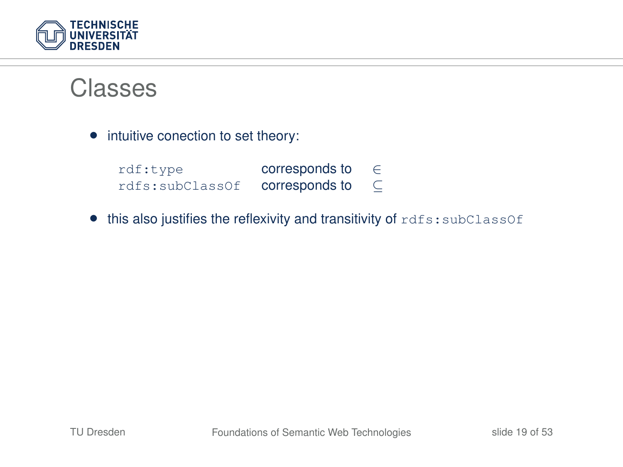

#### **Classes**

• intuitive conection to set theory:

| rdf:type        | corresponds to | E |
|-----------------|----------------|---|
| rdfs:subClassOf | corresponds to | ⊆ |

• this also justifies the reflexivity and transitivity of rdfs:subClassOf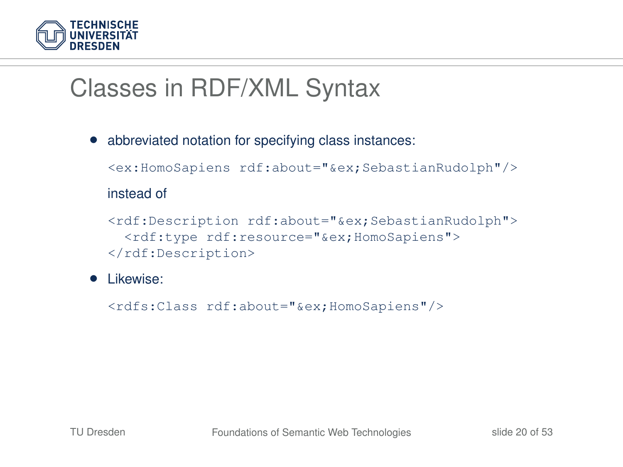

## Classes in RDF/XML Syntax

• abbreviated notation for specifying class instances:

```
<ex:HomoSapiens rdf:about="&ex;SebastianRudolph"/>
```
#### instead of

<rdf:Description rdf:about="&ex;SebastianRudolph"> <rdf:type rdf:resource="&ex;HomoSapiens"> </rdf:Description>

#### • Likewise:

<rdfs:Class rdf:about="&ex;HomoSapiens"/>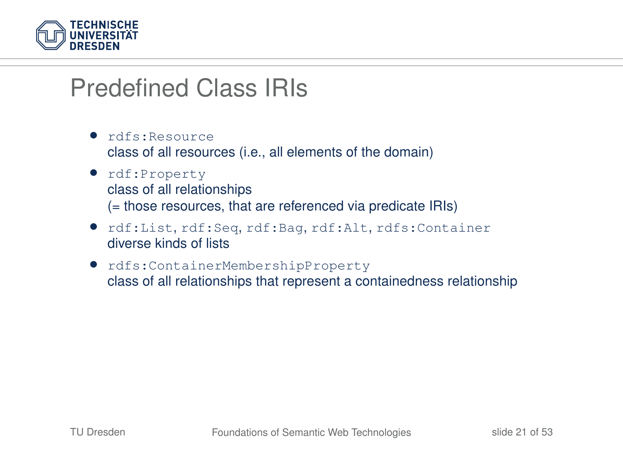

## Predefined Class IRIs

- rdfs:Resource class of all resources (i.e., all elements of the domain)
- rdf:Property class of all relationships (= those resources, that are referenced via predicate IRIs)
- rdf:List, rdf:Seq, rdf:Bag, rdf:Alt, rdfs:Container diverse kinds of lists
- rdfs:ContainerMembershipProperty class of all relationships that represent a containedness relationship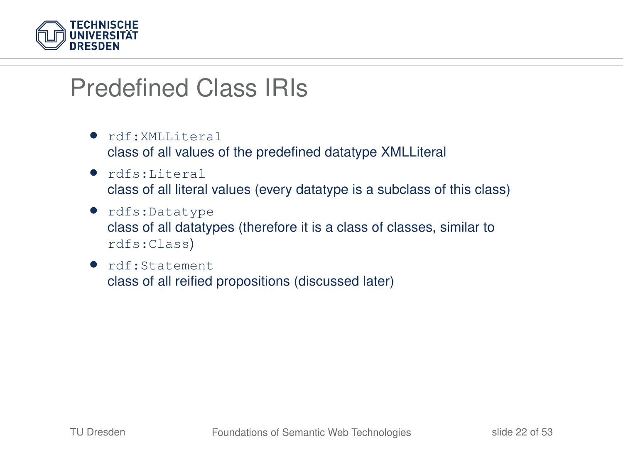

## Predefined Class IRIs

- rdf:XMLLiteral class of all values of the predefined datatype XMLLiteral
- rdfs:Literal class of all literal values (every datatype is a subclass of this class)
- rdfs:Datatype class of all datatypes (therefore it is a class of classes, similar to rdfs:Class)
- rdf:Statement class of all reified propositions (discussed later)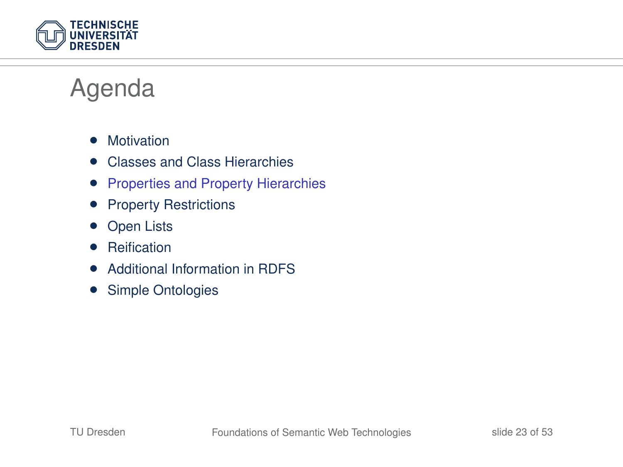

## Agenda

- Motivation
- Classes and Class Hierarchies
- Properties and Property Hierarchies
- Property Restrictions
- **Open Lists**
- Reification
- Additional Information in RDFS
- Simple Ontologies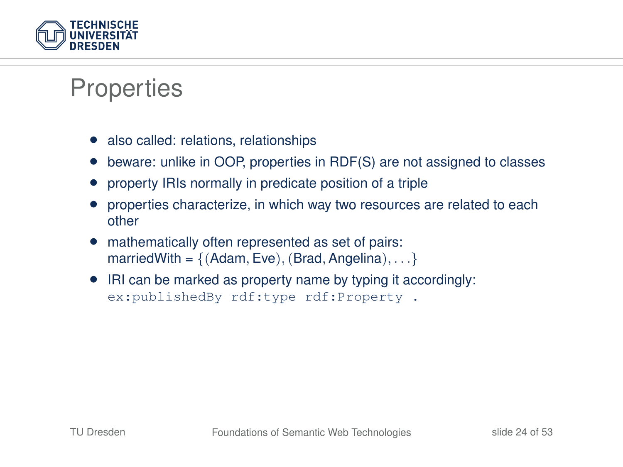

### **Properties**

- also called: relations, relationships
- beware: unlike in OOP, properties in RDF(S) are not assigned to classes
- property IRIs normally in predicate position of a triple
- properties characterize, in which way two resources are related to each other
- mathematically often represented as set of pairs: marriedWith =  $\{(Adam, Eve), (Brad, Angelina), \ldots\}$
- IRI can be marked as property name by typing it accordingly: ex:publishedBy rdf:type rdf:Property .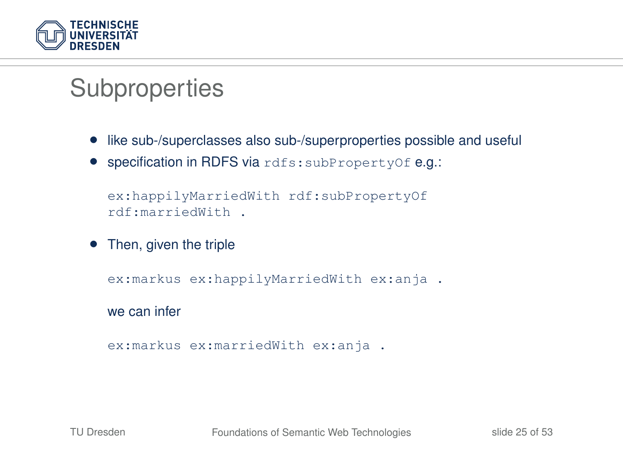

## **Subproperties**

- like sub-/superclasses also sub-/superproperties possible and useful
- specification in RDFS via rdfs:subPropertyOf e.g.:

```
ex:happilyMarriedWith rdf:subPropertyOf
rdf:marriedWith .
```
• Then, given the triple

```
ex:markus ex:happilyMarriedWith ex:anja .
```
we can infer

```
ex:markus ex:marriedWith ex:anja .
```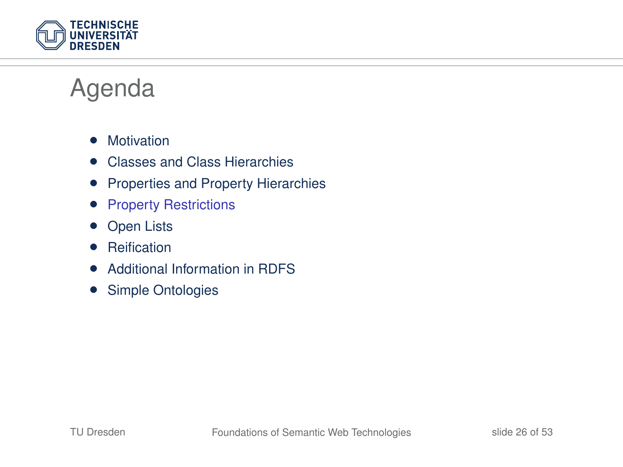

## Agenda

- Motivation
- Classes and Class Hierarchies
- Properties and Property Hierarchies
- Property Restrictions
- **Open Lists**
- Reification
- Additional Information in RDFS
- Simple Ontologies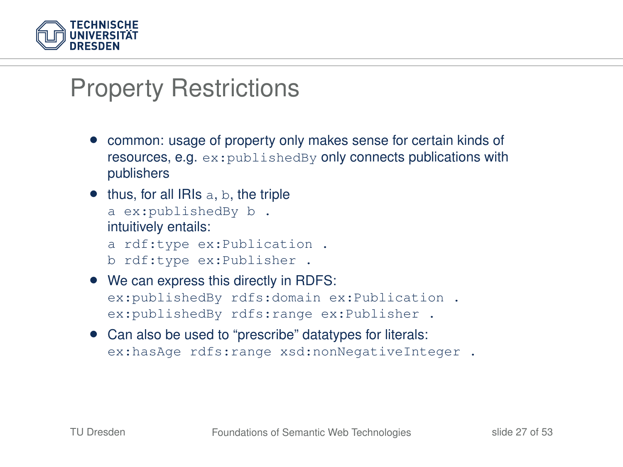

## Property Restrictions

- common: usage of property only makes sense for certain kinds of resources, e.g. ex:publishedBy only connects publications with publishers
- $\bullet$  thus, for all IRIs a, b, the triple a ex:publishedBy b . intuitively entails: a rdf:type ex:Publication . b rdf:type ex:Publisher .
- We can express this directly in RDFS: ex:publishedBy rdfs:domain ex:Publication . ex:publishedBy rdfs:range ex:Publisher .
- Can also be used to "prescribe" datatypes for literals: ex:hasAge rdfs:range xsd:nonNegativeInteger .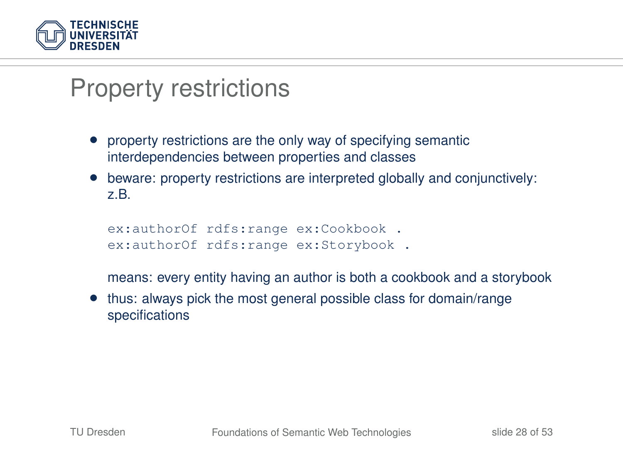

## Property restrictions

- property restrictions are the only way of specifying semantic interdependencies between properties and classes
- beware: property restrictions are interpreted globally and conjunctively: z.B.

```
ex:authorOf rdfs:range ex:Cookbook .
ex:authorOf rdfs:range ex:Storybook.
```
means: every entity having an author is both a cookbook and a storybook

• thus: always pick the most general possible class for domain/range specifications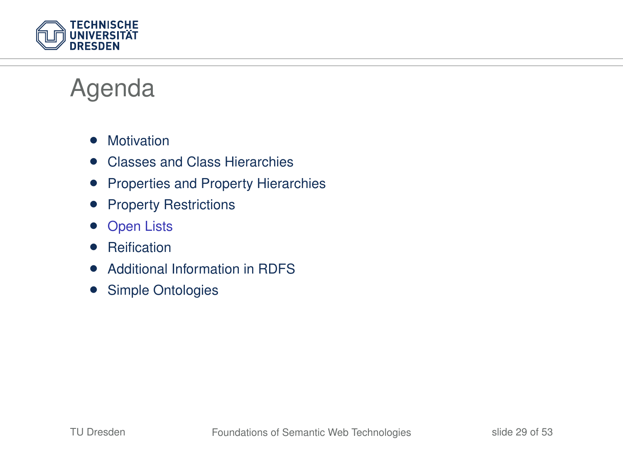

## Agenda

- Motivation
- Classes and Class Hierarchies
- Properties and Property Hierarchies
- Property Restrictions
- **Open Lists**
- Reification
- Additional Information in RDFS
- Simple Ontologies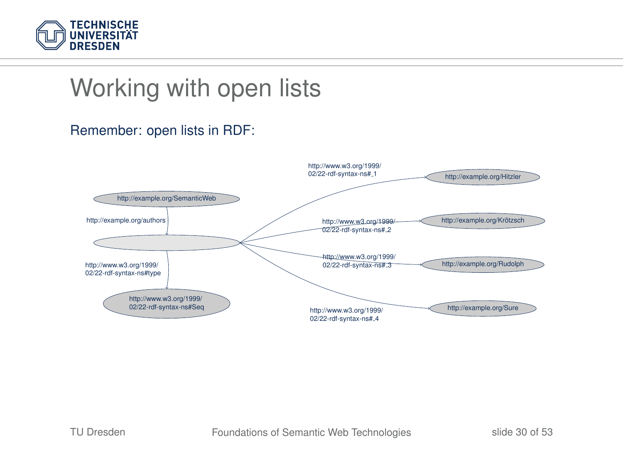

## Working with open lists

#### Remember: open lists in RDF:

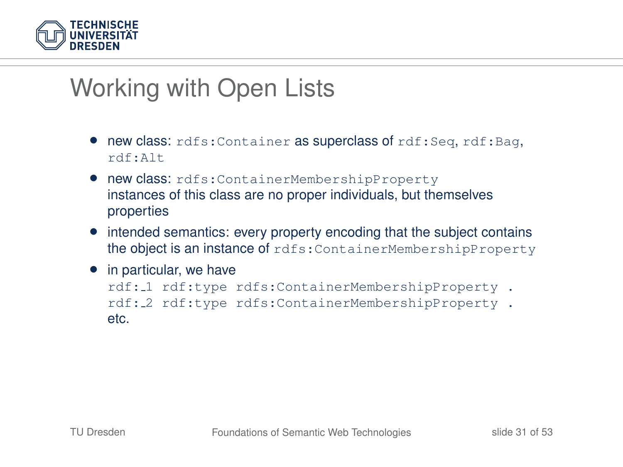

## Working with Open Lists

- new class: rdfs:Container as superclass of rdf:Seq, rdf:Bag, rdf:Alt
- new class: rdfs:ContainerMembershipProperty instances of this class are no proper individuals, but themselves properties
- intended semantics: every property encoding that the subject contains the object is an instance of rdfs:ContainerMembershipProperty
- in particular, we have rdf: 1 rdf:type rdfs:ContainerMembershipProperty . rdf: 2 rdf:type rdfs:ContainerMembershipProperty . etc.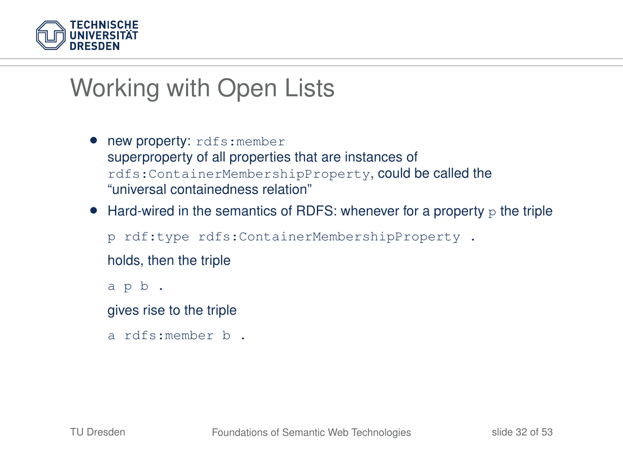

## Working with Open Lists

- new property: rdfs:member superproperty of all properties that are instances of rdfs:ContainerMembershipProperty, could be called the "universal containedness relation"
- Hard-wired in the semantics of RDFS: whenever for a property  $\mathbf{p}$  the triple

p rdf:type rdfs:ContainerMembershipProperty .

holds, then the triple

a p b .

gives rise to the triple

a rdfs:member b .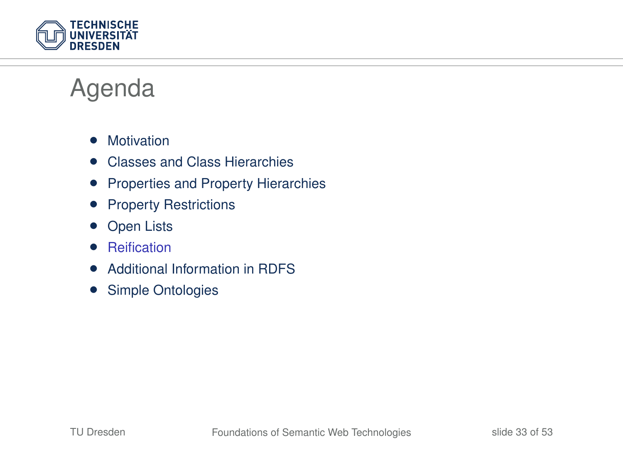

## Agenda

- Motivation
- Classes and Class Hierarchies
- Properties and Property Hierarchies
- Property Restrictions
- **Open Lists**
- Reification
- Additional Information in RDFS
- Simple Ontologies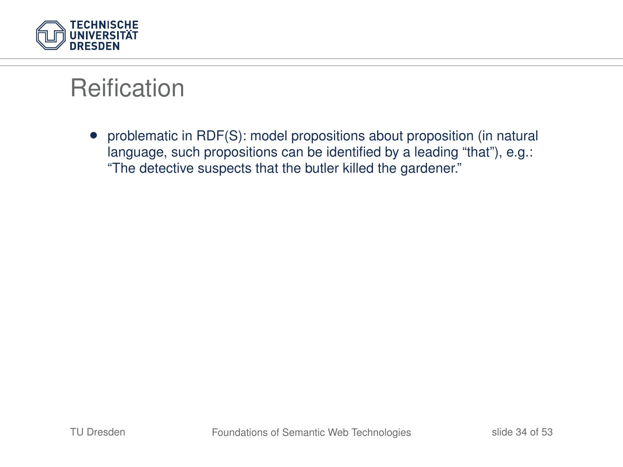

• problematic in RDF(S): model propositions about proposition (in natural language, such propositions can be identified by a leading "that"), e.g.: "The detective suspects that the butler killed the gardener."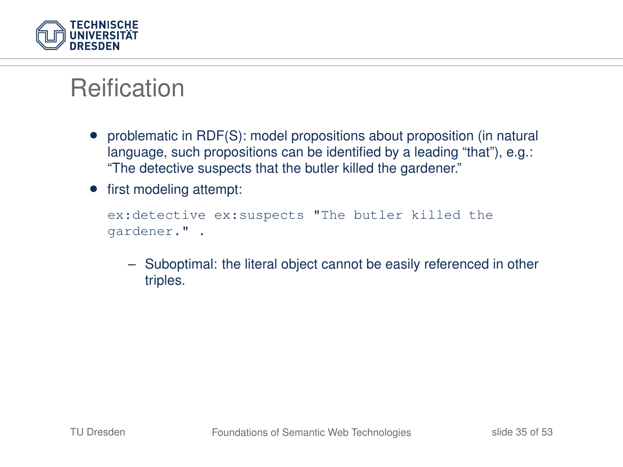

- problematic in RDF(S): model propositions about proposition (in natural language, such propositions can be identified by a leading "that"), e.g.: "The detective suspects that the butler killed the gardener."
- first modeling attempt:

```
ex:detective ex:suspects "The butler killed the
gardener." .
```
– Suboptimal: the literal object cannot be easily referenced in other triples.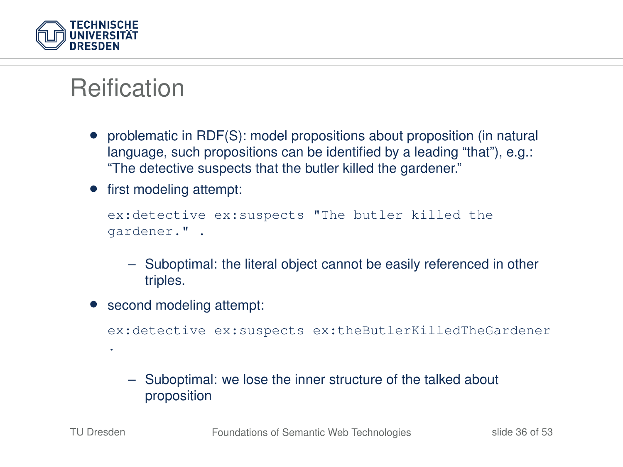

- problematic in RDF(S): model propositions about proposition (in natural language, such propositions can be identified by a leading "that"), e.g.: "The detective suspects that the butler killed the gardener."
- first modeling attempt:

```
ex:detective ex:suspects "The butler killed the
gardener." .
```
- Suboptimal: the literal object cannot be easily referenced in other triples.
- second modeling attempt:

ex:detective ex:suspects ex:theButlerKilledTheGardener

– Suboptimal: we lose the inner structure of the talked about proposition

.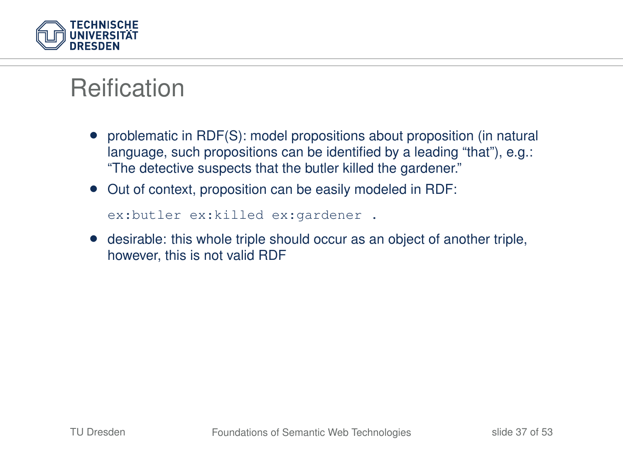

- problematic in RDF(S): model propositions about proposition (in natural language, such propositions can be identified by a leading "that"), e.g.: "The detective suspects that the butler killed the gardener."
- Out of context, proposition can be easily modeled in RDF:

```
ex:butler ex:killed ex:gardener .
```
• desirable: this whole triple should occur as an object of another triple, however, this is not valid RDF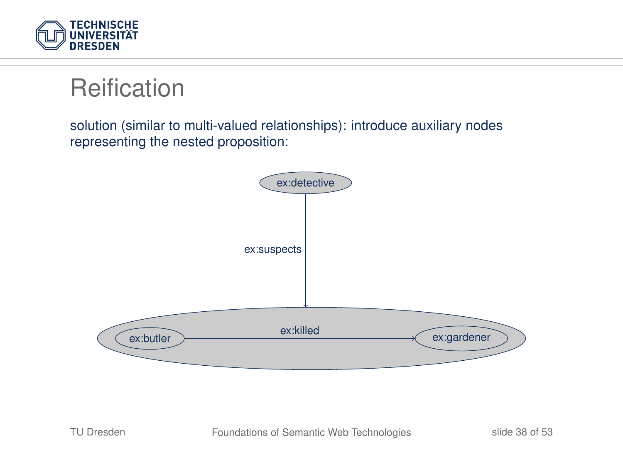

solution (similar to multi-valued relationships): introduce auxiliary nodes representing the nested proposition:

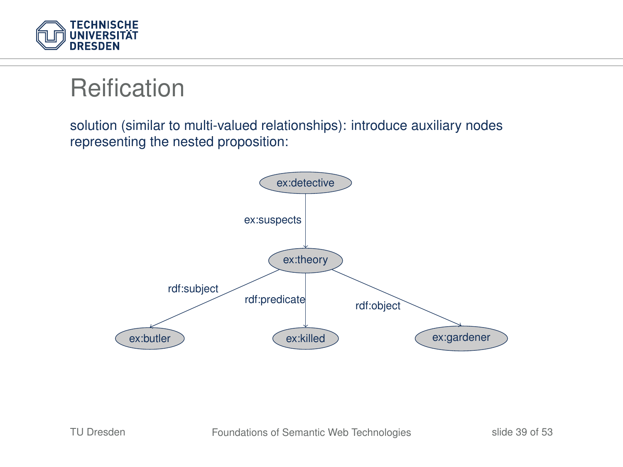

solution (similar to multi-valued relationships): introduce auxiliary nodes representing the nested proposition:

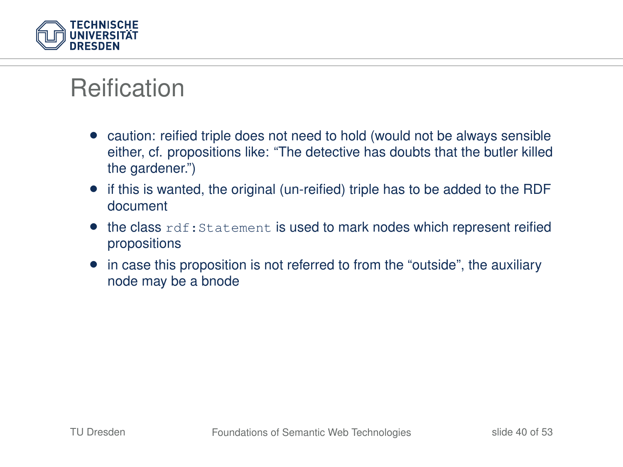

- caution: reified triple does not need to hold (would not be always sensible either, cf. propositions like: "The detective has doubts that the butler killed the gardener.")
- if this is wanted, the original (un-reified) triple has to be added to the RDF document
- $\bullet$  the class  $\text{rdf:Statement}$  is used to mark nodes which represent reified propositions
- in case this proposition is not referred to from the "outside", the auxiliary node may be a bnode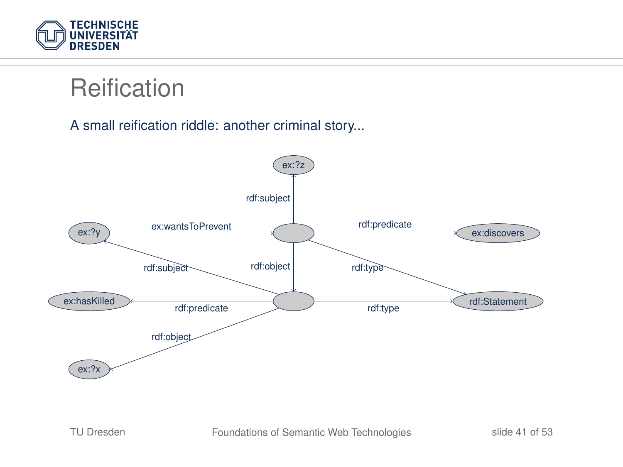

A small reification riddle: another criminal story...

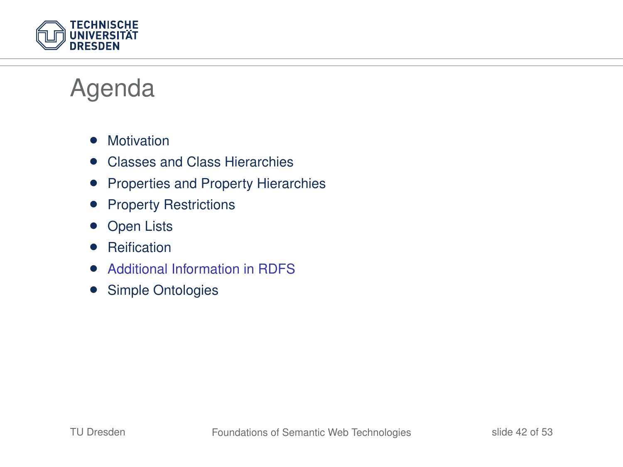

## Agenda

- Motivation
- Classes and Class Hierarchies
- Properties and Property Hierarchies
- Property Restrictions
- **Open Lists**
- Reification
- Additional Information in RDFS
- Simple Ontologies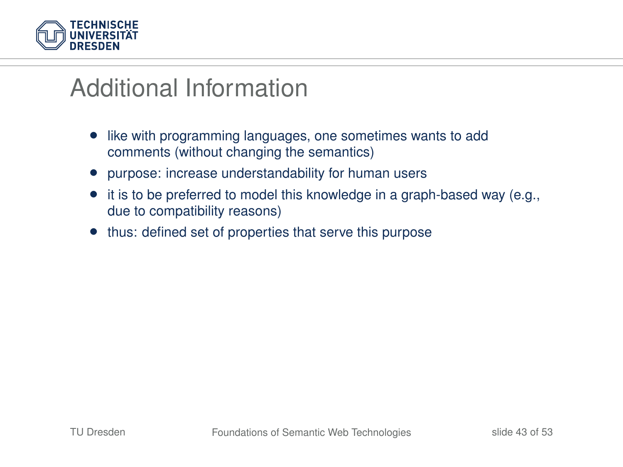

- like with programming languages, one sometimes wants to add comments (without changing the semantics)
- purpose: increase understandability for human users
- it is to be preferred to model this knowledge in a graph-based way (e.g., due to compatibility reasons)
- thus: defined set of properties that serve this purpose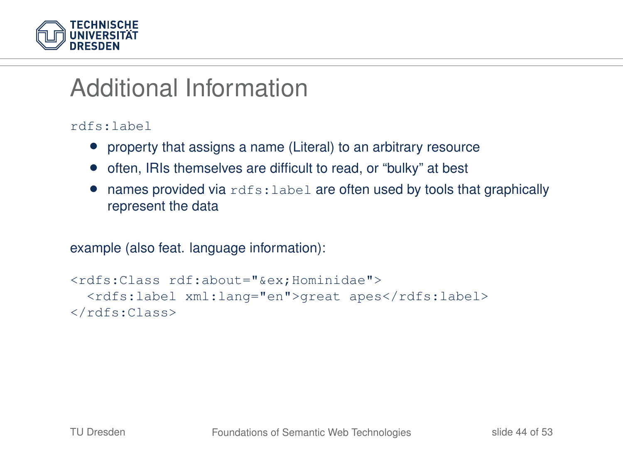

#### rdfs:label

- property that assigns a name (Literal) to an arbitrary resource
- often, IRIs themselves are difficult to read, or "bulky" at best
- names provided via  $rdfs:label$  are often used by tools that graphically represent the data

#### example (also feat. language information):

```
<rdfs:Class rdf:about="&ex;Hominidae">
 <rdfs:label xml:lang="en">great apes</rdfs:label>
</rdfs:Class>
```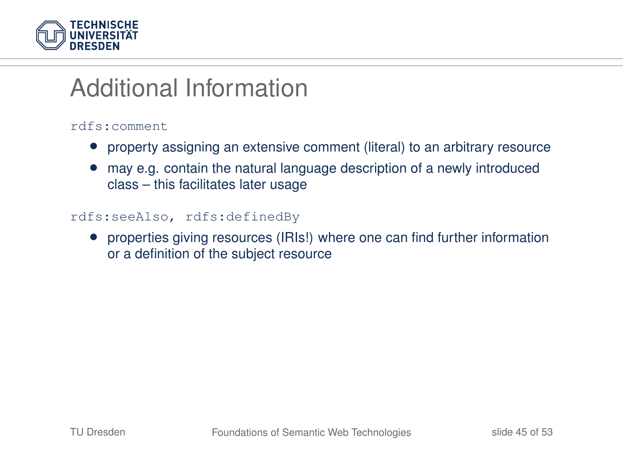

#### rdfs:comment

- property assigning an extensive comment (literal) to an arbitrary resource
- may e.g. contain the natural language description of a newly introduced class – this facilitates later usage

#### rdfs:seeAlso, rdfs:definedBy

• properties giving resources (IRIs!) where one can find further information or a definition of the subject resource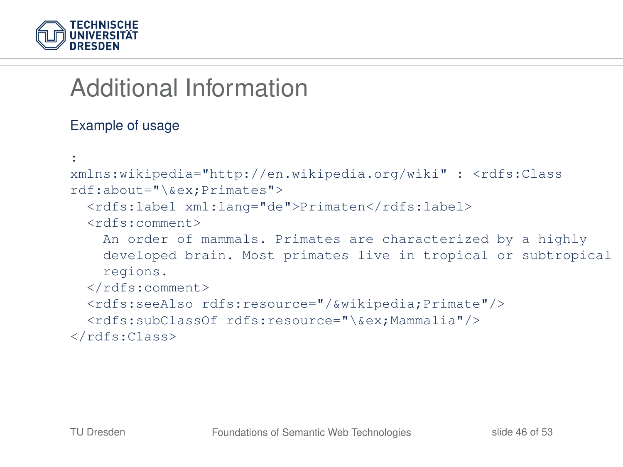

#### Example of usage

```
:
xmlns:wikipedia="http://en.wikipedia.org/wiki" : <rdfs:Class
rdf:about="\&ex;Primates">
  <rdfs:label xml:lang="de">Primaten</rdfs:label>
  <rdfs:comment>
    An order of mammals. Primates are characterized by a highly
    developed brain. Most primates live in tropical or subtropical
    regions.
  </rdfs:comment>
  <rdfs:seeAlso rdfs:resource="/&wikipedia;Primate"/>
  <rdfs:subClassOf rdfs:resource="\&ex;Mammalia"/>
</rdfs:Class>
```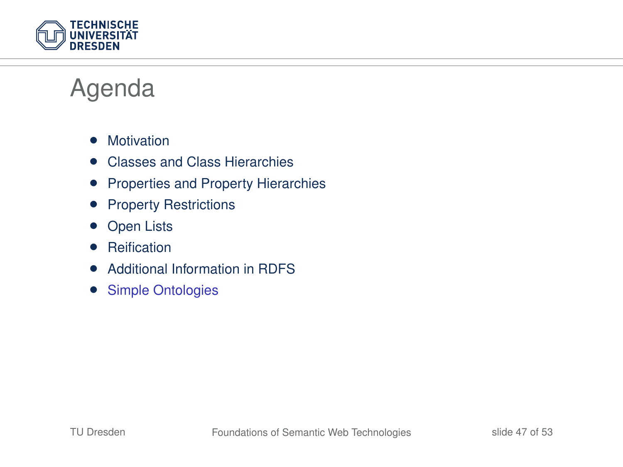

## Agenda

- Motivation
- Classes and Class Hierarchies
- Properties and Property Hierarchies
- Property Restrictions
- **Open Lists**
- Reification
- Additional Information in RDFS
- Simple Ontologies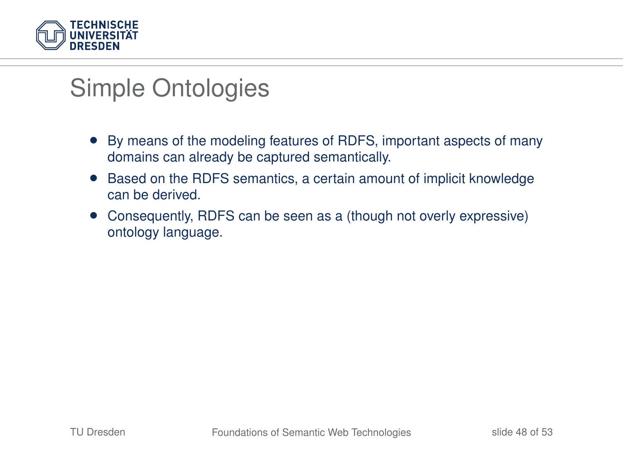

## Simple Ontologies

- By means of the modeling features of RDFS, important aspects of many domains can already be captured semantically.
- Based on the RDFS semantics, a certain amount of implicit knowledge can be derived.
- Consequently, RDFS can be seen as a (though not overly expressive) ontology language.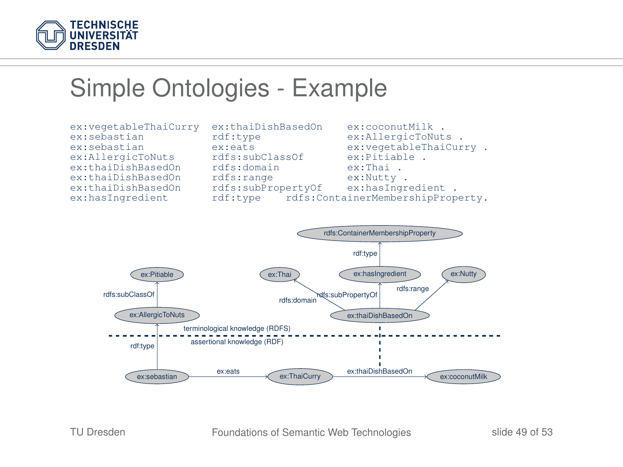

### Simple Ontologies - Example

```
ex:thaiDishBasedOn rdfs:subPropertyOf<br>ex:hasIngredient rdf:type rdfs:Cont
```

```
ex:vegetableThaiCurry ex:thaiDishBasedOn ex:coconutMilk .
ex:sebastian rdf:type ex:AllergicToNuts .<br>ex:sebastian ex:eats ex:vegetableThaiCur
                               ex:eats ex:vegetableThaiCurry .<br>
rdfs:subClassOf ex:Pitiable .
ex:AllergicToNuts rdfs:subClassOf ex:Pitiab<br>ex:thaiDishBasedOn rdfs:domain ex:Thai
ex:thaiDishBasedOn rdfs:domain ex:Thai .<br>ex:thaiDishBasedOn rdfs:range ex:Nutty.
ex:thaiDishBasedOn rdfs:range ex:Nutty .<br>ex:thaiDishBasedOn rdfs:subPropertyOf ex:hasIngredient .
                                               rdfs:ContainerMembershipProperty.
```
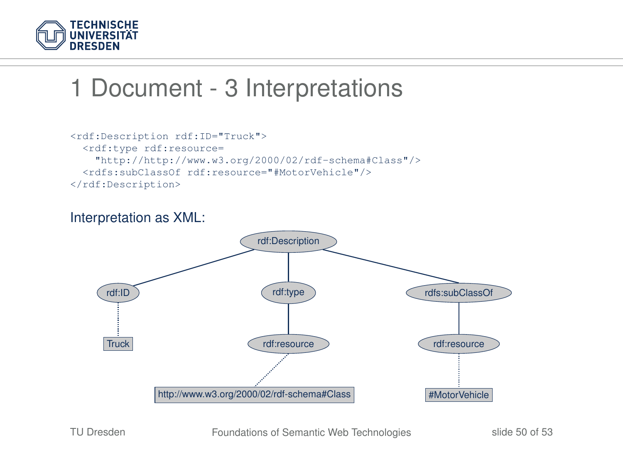

## 1 Document - 3 Interpretations

```
<rdf:Description rdf:ID="Truck">
  <rdf:type rdf:resource=
    "http://http://www.w3.org/2000/02/rdf-schema#Class"/>
  <rdfs:subClassOf rdf:resource="#MotorVehicle"/>
</rdf:Description>
```
#### Interpretation as XML:

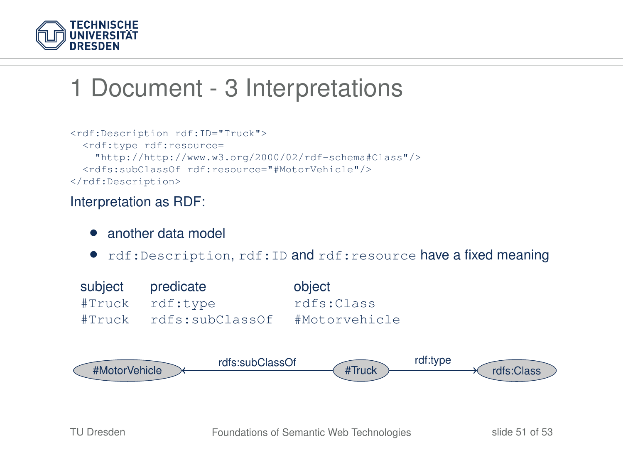

## 1 Document - 3 Interpretations

```
<rdf:Description rdf:ID="Truck">
  <rdf:type rdf:resource=
    "http://http://www.w3.org/2000/02/rdf-schema#Class"/>
  <rdfs:subClassOf rdf:resource="#MotorVehicle"/>
</rdf:Description>
```
#### Interpretation as RDF:

- another data model
- rdf:Description, rdf:ID and rdf:resource have a fixed meaning

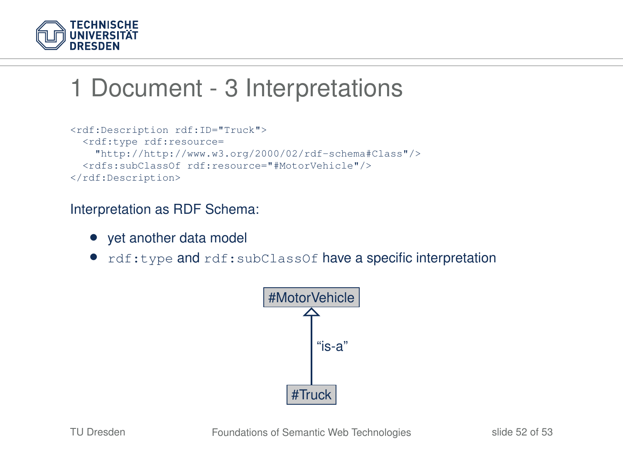

## 1 Document - 3 Interpretations

```
<rdf:Description rdf:ID="Truck">
  <rdf:type rdf:resource=
    "http://http://www.w3.org/2000/02/rdf-schema#Class"/>
  <rdfs:subClassOf rdf:resource="#MotorVehicle"/>
</rdf:Description>
```
#### Interpretation as RDF Schema:

- yet another data model
- rdf:type and rdf:subClassOf have a specific interpretation